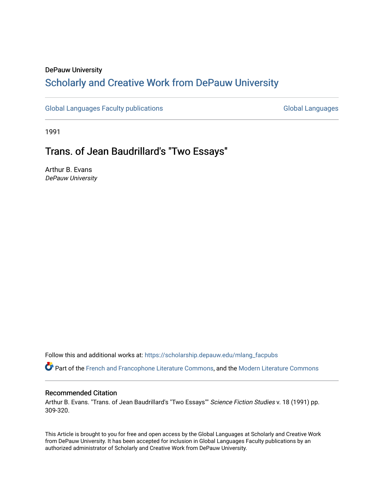## DePauw University

## Scholarly and [Creative Work from DePauw Univ](https://scholarship.depauw.edu/)ersity

[Global Languages Faculty publications](https://scholarship.depauw.edu/mlang_facpubs) [Global Languages](https://scholarship.depauw.edu/modernlanguages) Global Languages

1991

# Trans. of Jean Baudrillard's "Two Essays"

Arthur B. Evans DePauw University

Follow this and additional works at: [https://scholarship.depauw.edu/mlang\\_facpubs](https://scholarship.depauw.edu/mlang_facpubs?utm_source=scholarship.depauw.edu%2Fmlang_facpubs%2F19&utm_medium=PDF&utm_campaign=PDFCoverPages)

Part of the [French and Francophone Literature Commons,](https://network.bepress.com/hgg/discipline/465?utm_source=scholarship.depauw.edu%2Fmlang_facpubs%2F19&utm_medium=PDF&utm_campaign=PDFCoverPages) and the [Modern Literature Commons](https://network.bepress.com/hgg/discipline/1050?utm_source=scholarship.depauw.edu%2Fmlang_facpubs%2F19&utm_medium=PDF&utm_campaign=PDFCoverPages)

## Recommended Citation

Arthur B. Evans. "Trans. of Jean Baudrillard's "Two Essays" Science Fiction Studies v. 18 (1991) pp. 309-320.

This Article is brought to you for free and open access by the Global Languages at Scholarly and Creative Work from DePauw University. It has been accepted for inclusion in Global Languages Faculty publications by an authorized administrator of Scholarly and Creative Work from DePauw University.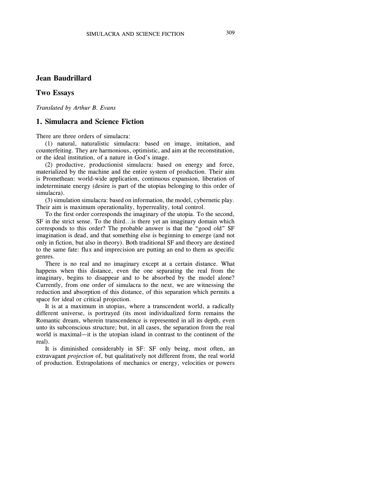#### **Jean Baudrillard**

### **Two Essays**

*Translated by Arthur B. Evans*

#### **1. Simulacra and Science Fiction**

There are three orders of simulacra:

(1) natural, naturalistic simulacra: based on image, imitation, and counterfeiting. They are harmonious, optimistic, and aim at the reconstitution, or the ideal institution, of a nature in God's image.

(2) productive, productionist simulacra: based on energy and force, materialized by the machine and the entire system of production. Their aim is Promethean: world-wide application, continuous expansion, liberation of indeterminate energy (desire is part of the utopias belonging to this order of simulacra).

(3) simulation simulacra: based on information, the model, cybernetic play. Their aim is maximum operationality, hyperreality, total control.

To the first order corresponds the imaginary of the utopia. To the second, SF in the strict sense. To the third...is there yet an imaginary domain which corresponds to this order? The probable answer is that the "good old" SF imagination is dead, and that something else is beginning to emerge (and not only in fiction, but also in theory). Both traditional SF and theory are destined to the same fate: flux and imprecision are putting an end to them as specific genres.

There is no real and no imaginary except at a certain distance. What happens when this distance, even the one separating the real from the imaginary, begins to disappear and to be absorbed by the model alone? Currently, from one order of simulacra to the next, we are witnessing the reduction and absorption of this distance, of this separation which permits a space for ideal or critical projection.

It is at a maximum in utopias, where a transcendent world, a radically different universe, is portrayed (its most individualized form remains the Romantic dream, wherein transcendence is represented in all its depth, even unto its subconscious structure; but, in all cases, the separation from the real world is maximal—it is the utopian island in contrast to the continent of the real).

It is diminished considerably in SF: SF only being, most often, an extravagant *projection* of, but qualitatively not different from, the real world of production. Extrapolations of mechanics or energy, velocities or powers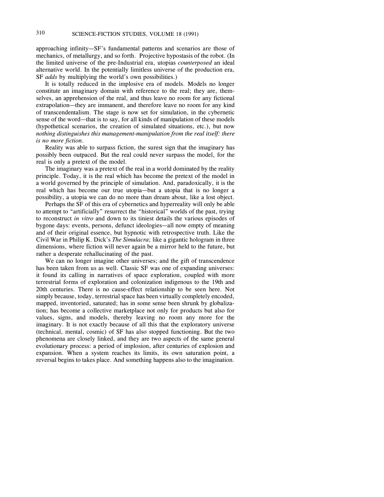approaching infinity—SF's fundamental patterns and scenarios are those of mechanics, of metallurgy, and so forth. Projective hypostasis of the robot. (In the limited universe of the pre-Industrial era, utopias *counterposed* an ideal alternative world. In the potentially limitless universe of the production era, SF *adds* by multiplying the world's own possibilities.)

It is totally reduced in the implosive era of models. Models no longer constitute an imaginary domain with reference to the real; they are, themselves, an apprehension of the real, and thus leave no room for any fictional extrapolation—they are immanent, and therefore leave no room for any kind of transcendentalism. The stage is now set for simulation, in the cybernetic sense of the word—that is to say, for all kinds of manipulation of these models (hypothetical scenarios, the creation of simulated situations, etc.), but now *nothing distinguishes this management-manipulation from the real itself: there is no more fiction*.

Reality was able to surpass fiction, the surest sign that the imaginary has possibly been outpaced. But the real could never surpass the model, for the real is only a pretext of the model.

The imaginary was a pretext of the real in a world dominated by the reality principle. Today, it is the real which has become the pretext of the model in a world governed by the principle of simulation. And, paradoxically, it is the real which has become our true utopia—but a utopia that is no longer a possibility, a utopia we can do no more than dream about, like a lost object.

Perhaps the SF of this era of cybernetics and hyperreality will only be able to attempt to "artificially" resurrect the "historical" worlds of the past, trying to reconstruct *in vitro* and down to its tiniest details the various episodes of bygone days: events, persons, defunct ideologies—all now empty of meaning and of their original essence, but hypnotic with retrospective truth. Like the Civil War in Philip K. Dick's *The Simulacra*; like a gigantic hologram in three dimensions, where fiction will never again be a mirror held to the future, but rather a desperate rehallucinating of the past.

We can no longer imagine other universes; and the gift of transcendence has been taken from us as well. Classic SF was one of expanding universes: it found its calling in narratives of space exploration, coupled with more terrestrial forms of exploration and colonization indigenous to the 19th and 20th centuries. There is no cause-effect relationship to be seen here. Not simply because, today, terrestrial space has been virtually completely encoded, mapped, inventoried, saturated; has in some sense been shrunk by globalization; has become a collective marketplace not only for products but also for values, signs, and models, thereby leaving no room any more for the imaginary. It is not exactly because of all this that the exploratory universe (technical, mental, cosmic) of SF has also stopped functioning. But the two phenomena are closely linked, and they are two aspects of the same general evolutionary process: a period of implosion, after centuries of explosion and expansion. When a system reaches its limits, its own saturation point, a reversal begins to takes place. And something happens also to the imagination.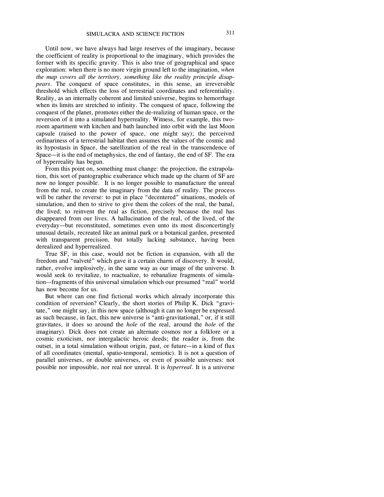Until now, we have always had large reserves of the imaginary, because the coefficient of reality is proportional to the imaginary, which provides the former with its specific gravity. This is also true of geographical and space exploration: when there is no more virgin ground left to the imagination, *when the map covers all the territory, something like the reality principle disappears*. The conquest of space constitutes, in this sense, an irreversible threshold which effects the loss of terrestrial coordinates and referentiality. Reality, as an internally coherent and limited universe, begins to hemorrhage when its limits are stretched to infinity. The conquest of space, following the conquest of the planet, promotes either the de-realizing of human space, or the reversion of it into a simulated hyperreality. Witness, for example, this tworoom apartment with kitchen and bath launched into orbit with the last Moon capsule (raised to the power of space, one might say); the perceived ordinariness of a terrestrial habitat then assumes the values of the cosmic and its hypostasis in Space, the satellization of the real in the transcendence of Space—it is the end of metaphysics, the end of fantasy, the end of SF. The era of hyperreality has begun.

From this point on, something must change: the projection, the extrapolation, this sort of pantographic exuberance which made up the charm of SF are now no longer possible. It is no longer possible to manufacture the unreal from the real, to create the imaginary from the data of reality. The process will be rather the reverse: to put in place "decentered" situations, models of simulation, and then to strive to give them the colors of the real, the banal, the lived; to reinvent the real as fiction, precisely because the real has disappeared from our lives. A hallucination of the real, of the lived, of the everyday—but reconstituted, sometimes even unto its most disconcertingly unusual details, recreated like an animal park or a botanical garden, presented with transparent precision, but totally lacking substance, having been derealized and hyperrealized.

True SF, in this case, would not be fiction in expansion, with all the freedom and "naïveté" which gave it a certain charm of discovery. It would, rather, evolve implosively, in the same way as our image of the universe. It would seek to revitalize, to reactualize, to rebanalize fragments of simulation—fragments of this universal simulation which our presumed "real" world has now become for us.

But where can one find fictional works which already incorporate this condition of reversion? Clearly, the short stories of Philip K. Dick "gravitate," one might say, in this new space (although it can no longer be expressed as such because, in fact, this new universe is "anti-gravitational," or, if it still gravitates, it does so around the *hole* of the real, around the *hole* of the imaginary). Dick does not create an alternate cosmos nor a folklore or a cosmic exoticism, nor intergalactic heroic deeds; the reader is, from the outset, in a total simulation without origin, past, or future—in a kind of flux of all coordinates (mental, spatio-temporal, semiotic). It is not a question of parallel universes, or double universes, or even of possible universes: not possible nor impossible, nor real nor unreal. It is *hyperreal*. It is a universe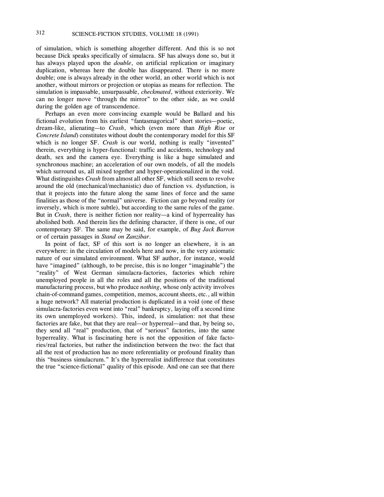of simulation, which is something altogether different. And this is so not because Dick speaks specifically of simulacra. SF has always done so, but it has always played upon the *double*, on artificial replication or imaginary duplication, whereas here the double has disappeared. There is no more double; one is always already in the other world, an other world which is not another, without mirrors or projection or utopias as means for reflection. The simulation is impassable, unsurpassable, *checkmated*, without exteriority. We can no longer move "through the mirror" to the other side, as we could during the golden age of transcendence.

Perhaps an even more convincing example would be Ballard and his fictional evolution from his earliest "fantasmagorical" short stories—poetic, dream-like, alienating—to *Crash*, which (even more than *High Rise* or *Concrete Island*) constitutes without doubt the contemporary model for this SF which is no longer SF. *Crash* is our world, nothing is really "invented" therein, everything is hyper-functional: traffic and accidents, technology and death, sex and the camera eye. Everything is like a huge simulated and synchronous machine; an acceleration of our own models, of all the models which surround us, all mixed together and hyper-operationalized in the void. What distinguishes *Crash* from almost all other SF, which still seem to revolve around the old (mechanical/mechanistic) duo of function vs. dysfunction, is that it projects into the future along the same lines of force and the same finalities as those of the "normal" universe. Fiction can go beyond reality (or inversely, which is more subtle), but according to the same rules of the game. But in *Crash*, there is neither fiction nor reality—a kind of hyperreality has abolished both. And therein lies the defining character, if there is one, of our contemporary SF. The same may be said, for example, of *Bug Jack Barron* or of certain passages in *Stand on Zanzibar*.

In point of fact, SF of this sort is no longer an elsewhere, it is an everywhere: in the circulation of models here and now, in the very axiomatic nature of our simulated environment. What SF author, for instance, would have "imagined" (although, to be precise, this is no longer "imaginable") the "reality" of West German simulacra-factories, factories which rehire unemployed people in all the roles and all the positions of the traditional manufacturing process, but who produce *nothing*, whose only activity involves chain-of-command games, competition, memos, account sheets, etc., all within a huge network? All material production is duplicated in a void (one of these simulacra-factories even went into "real" bankruptcy, laying off a second time its own unemployed workers). This, indeed, is simulation: not that these factories are fake, but that they are real—or hyperreal—and that, by being so, they send all "real" production, that of "serious" factories, into the same hyperreality. What is fascinating here is not the opposition of fake factories/real factories, but rather the indistinction between the two: the fact that all the rest of production has no more referentiality or profound finality than this "business simulacrum." It's the hyperrealist indifference that constitutes the true "science-fictional" quality of this episode. And one can see that there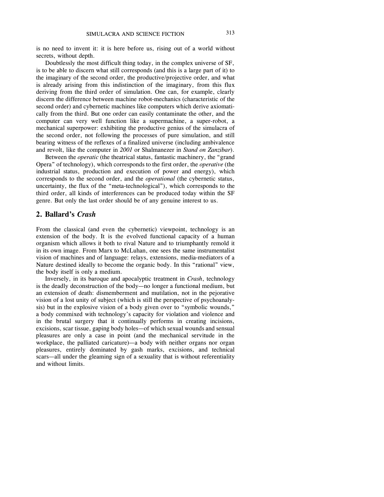is no need to invent it: it is here before us, rising out of a world without secrets, without depth.

Doubtlessly the most difficult thing today, in the complex universe of SF, is to be able to discern what still corresponds (and this is a large part of it) to the imaginary of the second order, the productive/projective order, and what is already arising from this indistinction of the imaginary, from this flux deriving from the third order of simulation. One can, for example, clearly discern the difference between machine robot-mechanics (characteristic of the second order) and cybernetic machines like computers which derive axiomatically from the third. But one order can easily contaminate the other, and the computer can very well function like a supermachine, a super-robot, a mechanical superpower: exhibiting the productive genius of the simulacra of the second order, not following the processes of pure simulation, and still bearing witness of the reflexes of a finalized universe (including ambivalence and revolt, like the computer in *2001* or Shalmanezer in *Stand on Zanzibar*).

Between the *operatic* (the theatrical status, fantastic machinery, the "grand Opera" of technology), which corresponds to the first order, the *operative* (the industrial status, production and execution of power and energy), which corresponds to the second order, and the *operational* (the cybernetic status, uncertainty, the flux of the "meta-technological"), which corresponds to the third order, all kinds of interferences can be produced today within the SF genre. But only the last order should be of any genuine interest to us.

### **2. Ballard's** *Crash*

From the classical (and even the cybernetic) viewpoint, technology is an extension of the body. It is the evolved functional capacity of a human organism which allows it both to rival Nature and to triumphantly remold it in its own image. From Marx to McLuhan, one sees the same instrumentalist vision of machines and of language: relays, extensions, media-mediators of a Nature destined ideally to become the organic body. In this "rational" view, the body itself is only a medium.

Inversely, in its baroque and apocalyptic treatment in *Crash*, technology is the deadly deconstruction of the body—no longer a functional medium, but an extension of death: dismemberment and mutilation, not in the pejorative vision of a lost unity of subject (which is still the perspective of psychoanalysis) but in the explosive vision of a body given over to "symbolic wounds," a body commixed with technology's capacity for violation and violence and in the brutal surgery that it continually performs in creating incisions, excisions, scar tissue, gaping body holes—of which sexual wounds and sensual pleasures are only a case in point (and the mechanical servitude in the workplace, the palliated caricature)—a body with neither organs nor organ pleasures, entirely dominated by gash marks, excisions, and technical scars—all under the gleaming sign of a sexuality that is without referentiality and without limits.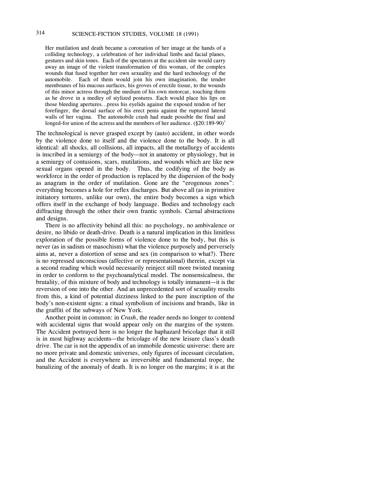Her mutilation and death became a coronation of her image at the hands of a colliding technology, a celebration of her individual limbs and facial planes, gestures and skin tones. Each of the spectators at the accident site would carry away an image of the violent transformation of this woman, of the complex wounds that fused together her own sexuality and the hard technology of the automobile. Each of them would join his own imagination, the tender membranes of his mucous surfaces, his groves of erectile tissue, to the wounds of this minor actress through the medium of his own motorcar, touching them as he drove in a medley of stylized postures. Each would place his lips on those bleeding apertures...press his eyelids against the exposed tendon of her forefinger, the dorsal surface of his erect penis against the ruptured lateral walls of her vagina. The automobile crash had made possible the final and longed-for union of the actress and the members of her audience.  $(\$20:189-90)^1$ 

The technological is never grasped except by (auto) accident, in other words by the violence done to itself and the violence done to the body. It is all identical: all shocks, all collisions, all impacts, all the metallurgy of accidents is inscribed in a semiurgy of the body—not in anatomy or physiology, but in a semiurgy of contusions, scars, mutilations, and wounds which are like new sexual organs opened in the body. Thus, the codifying of the body as workforce in the order of production is replaced by the dispersion of the body as anagram in the order of mutilation. Gone are the "erogenous zones": everything becomes a hole for reflex discharges. But above all (as in primitive initiatory tortures, unlike our own), the entire body becomes a sign which offers itself in the exchange of body language. Bodies and technology each diffracting through the other their own frantic symbols. Carnal abstractions and designs.

There is no affectivity behind all this: no psychology, no ambivalence or desire, no libido or death-drive. Death is a natural implication in this limitless exploration of the possible forms of violence done to the body, but this is never (as in sadism or masochism) what the violence purposely and perversely aims at, never a distortion of sense and sex (in comparison to what?). There is no repressed unconscious (affective or representational) therein, except via a second reading which would necessarily reinject still more twisted meaning in order to conform to the psychoanalytical model. The nonsensicalness, the brutality, of this mixture of body and technology is totally immanent—it is the reversion of one into the other. And an unprecedented sort of sexuality results from this, a kind of potential dizziness linked to the pure inscription of the body's non-existent signs: a ritual symbolism of incisions and brands, like in the graffiti of the subways of New York.

Another point in common: in *Crash*, the reader needs no longer to contend with accidental signs that would appear only on the margins of the system. The Accident portrayed here is no longer the haphazard bricolage that it still is in most highway accidents—the bricolage of the new leisure class's death drive. The car is not the appendix of an immobile domestic universe: there are no more private and domestic universes, only figures of incessant circulation, and the Accident is everywhere as irreversible and fundamental trope, the banalizing of the anomaly of death. It is no longer on the margins; it is at the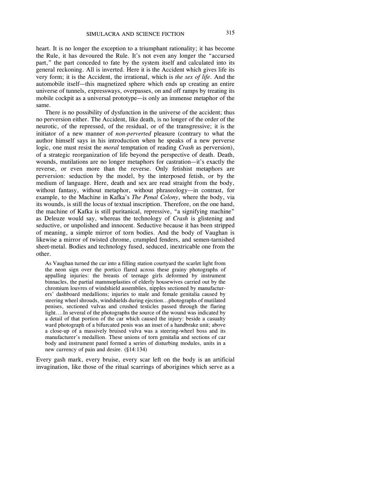heart. It is no longer the exception to a triumphant rationality; it has become the Rule, it has devoured the Rule. It's not even any longer the "accursed part," the part conceded to fate by the system itself and calculated into its general reckoning. All is inverted. Here it is the Accident which gives life its very form; it is the Accident, the irrational, which is *the sex of life*. And the automobile itself—this magnetized sphere which ends up creating an entire universe of tunnels, expressways, overpasses, on and off ramps by treating its mobile cockpit as a universal prototype—is only an immense metaphor of the same.

There is no possibility of dysfunction in the universe of the accident; thus no perversion either. The Accident, like death, is no longer of the order of the neurotic, of the repressed, of the residual, or of the transgressive; it is the initiator of a new manner of *non-perverted* pleasure (contrary to what the author himself says in his introduction when he speaks of a new perverse logic, one must resist the *moral* temptation of reading *Crash* as perversion), of a strategic reorganization of life beyond the perspective of death. Death, wounds, mutilations are no longer metaphors for castration—it's exactly the reverse, or even more than the reverse. Only fetishist metaphors are perversion: seduction by the model, by the interposed fetish, or by the medium of language. Here, death and sex are read straight from the body, without fantasy, without metaphor, without phraseology—in contrast, for example, to the Machine in Kafka's *The Penal Colony*, where the body, via its wounds, is still the locus of textual inscription. Therefore, on the one hand, the machine of Kafka is still puritanical, repressive, "a signifying machine" as Deleuze would say, whereas the technology of *Crash* is glistening and seductive, or unpolished and innocent. Seductive because it has been stripped of meaning, a simple mirror of torn bodies. And the body of Vaughan is likewise a mirror of twisted chrome, crumpled fenders, and semen-tarnished sheet-metal. Bodies and technology fused, seduced, inextricable one from the other.

As Vaughan turned the car into a filling station courtyard the scarlet light from the neon sign over the portico flared across these grainy photographs of appalling injuries: the breasts of teenage girls deformed by instrument binnacles, the partial mammoplasties of elderly housewives carried out by the chromium louvres of windshield assemblies, nipples sectioned by manufacturers' dashboard medallions; injuries to male and female genitalia caused by steering wheel shrouds, windshields during ejection...photographs of mutilated penises, sectioned vulvas and crushed testicles passed through the flaring light....In several of the photographs the source of the wound was indicated by a detail of that portion of the car which caused the injury: beside a casualty ward photograph of a bifurcated penis was an inset of a handbrake unit; above a close-up of a massively bruised vulva was a steering-wheel boss and its manufacturer's medallion. These unions of torn genitalia and sections of car body and instrument panel formed a series of disturbing modules, units in a new currency of pain and desire. (§14:134)

Every gash mark, every bruise, every scar left on the body is an artificial invagination, like those of the ritual scarrings of aborigines which serve as a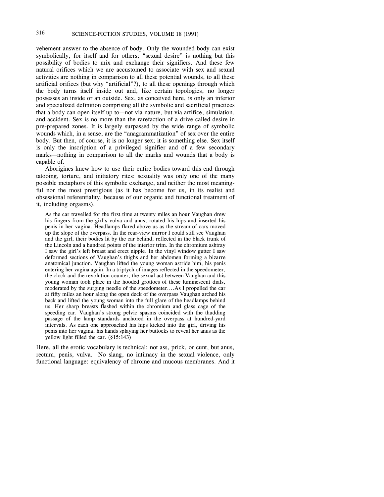vehement answer to the absence of body. Only the wounded body can exist symbolically, for itself and for others; "sexual desire" is nothing but this possibility of bodies to mix and exchange their signifiers. And these few natural orifices which we are accustomed to associate with sex and sexual activities are nothing in comparison to all these potential wounds, to all these artificial orifices (but why "artificial"?), to all these openings through which the body turns itself inside out and, like certain topologies, no longer possesses an inside or an outside. Sex, as conceived here, is only an inferior and specialized definition comprising all the symbolic and sacrificial practices that a body can open itself up to—not via nature, but via artifice, simulation, and accident. Sex is no more than the rarefaction of a drive called desire in pre-prepared zones. It is largely surpassed by the wide range of symbolic wounds which, in a sense, are the "anagrammatization" of sex over the entire body. But then, of course, it is no longer sex; it is something else. Sex itself is only the inscription of a privileged signifier and of a few secondary marks—nothing in comparison to all the marks and wounds that a body is capable of.

Aborigines knew how to use their entire bodies toward this end through tatooing, torture, and initiatory rites: sexuality was only one of the many possible metaphors of this symbolic exchange, and neither the most meaningful nor the most prestigious (as it has become for us, in its realist and obsessional referentiality, because of our organic and functional treatment of it, including orgasms).

As the car travelled for the first time at twenty miles an hour Vaughan drew his fingers from the girl's vulva and anus, rotated his hips and inserted his penis in her vagina. Headlamps flared above us as the stream of cars moved up the slope of the overpass. In the rear-view mirror I could still see Vaughan and the girl, their bodies lit by the car behind, reflected in the black trunk of the Lincoln and a hundred points of the interior trim. In the chromium ashtray I saw the girl's left breast and erect nipple. In the vinyl window gutter I saw deformed sections of Vaughan's thighs and her abdomen forming a bizarre anatomical junction. Vaughan lifted the young woman astride him, his penis entering her vagina again. In a triptych of images reflected in the speedometer, the clock and the revolution counter, the sexual act between Vaughan and this young woman took place in the hooded grottoes of these luminescent dials, moderated by the surging needle of the speedometer....As I propelled the car at fifty miles an hour along the open deck of the overpass Vaughan arched his back and lifted the young woman into the full glare of the headlamps behind us. Her sharp breasts flashed within the chromium and glass cage of the speeding car. Vaughan's strong pelvic spasms coincided with the thudding passage of the lamp standards anchored in the overpass at hundred-yard intervals. As each one approached his hips kicked into the girl, driving his penis into her vagina, his hands splaying her buttocks to reveal her anus as the yellow light filled the car. (§15:143)

Here, all the erotic vocabulary is technical: not ass, prick, or cunt, but anus, rectum, penis, vulva. No slang, no intimacy in the sexual violence, only functional language: equivalency of chrome and mucous membranes. And it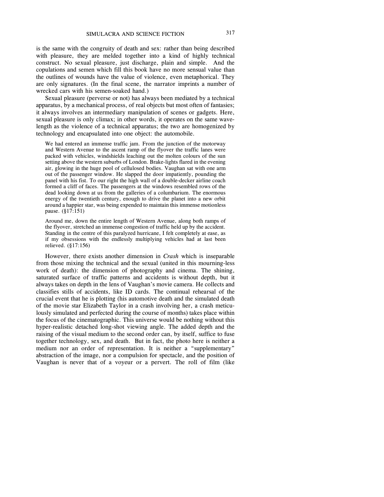is the same with the congruity of death and sex: rather than being described with pleasure, they are melded together into a kind of highly technical construct. No sexual pleasure, just discharge, plain and simple. And the copulations and semen which fill this book have no more sensual value than the outlines of wounds have the value of violence, even metaphorical. They are only signatures. (In the final scene, the narrator imprints a number of wrecked cars with his semen-soaked hand.)

Sexual pleasure (perverse or not) has always been mediated by a technical apparatus, by a mechanical process, of real objects but most often of fantasies; it always involves an intermediary manipulation of scenes or gadgets. Here, sexual pleasure is only climax; in other words, it operates on the same wavelength as the violence of a technical apparatus; the two are homogenized by technology and encapsulated into one object: the automobile.

We had entered an immense traffic jam. From the junction of the motorway and Western Avenue to the ascent ramp of the flyover the traffic lanes were packed with vehicles, windshields leaching out the molten colours of the sun setting above the western suburbs of London. Brake-lights flared in the evening air, glowing in the huge pool of cellulosed bodies. Vaughan sat with one arm out of the passenger window. He slapped the door impatiently, pounding the panel with his fist. To our right the high wall of a double-decker airline coach formed a cliff of faces. The passengers at the windows resembled rows of the dead looking down at us from the galleries of a columbarium. The enormous energy of the twentieth century, enough to drive the planet into a new orbit around a happier star, was being expended to maintain this immense motionless pause. (§17:151)

Around me, down the entire length of Western Avenue, along both ramps of the flyover, stretched an immense congestion of traffic held up by the accident. Standing in the centre of this paralyzed hurricane, I felt completely at ease, as if my obsessions with the endlessly multiplying vehicles had at last been relieved. (§17:156)

However, there exists another dimension in *Crash* which is inseparable from those mixing the technical and the sexual (united in this mourning-less work of death): the dimension of photography and cinema. The shining, saturated surface of traffic patterns and accidents is without depth, but it always takes on depth in the lens of Vaughan's movie camera. He collects and classifies stills of accidents, like ID cards. The continual rehearsal of the crucial event that he is plotting (his automotive death and the simulated death of the movie star Elizabeth Taylor in a crash involving her, a crash meticulously simulated and perfected during the course of months) takes place within the focus of the cinematographic. This universe would be nothing without this hyper-realistic detached long-shot viewing angle. The added depth and the raising of the visual medium to the second order can, by itself, suffice to fuse together technology, sex, and death. But in fact, the photo here is neither a medium nor an order of representation. It is neither a "supplementary" abstraction of the image, nor a compulsion for spectacle, and the position of Vaughan is never that of a voyeur or a pervert. The roll of film (like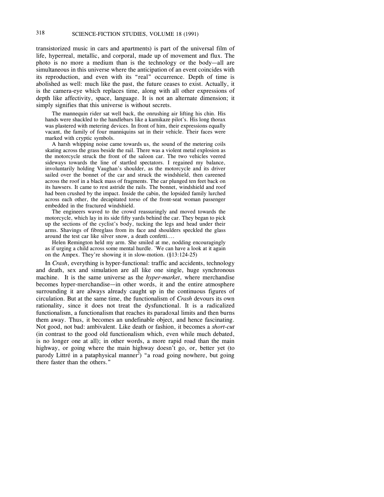transistorized music in cars and apartments) is part of the universal film of life, hyperreal, metallic, and corporal, made up of movement and flux. The photo is no more a medium than is the technology or the body—all are simultaneous in this universe where the anticipation of an event coincides with its reproduction, and even with its "real" occurrence. Depth of time is abolished as well: much like the past, the future ceases to exist. Actually, it is the camera-eye which replaces time, along with all other expressions of depth like affectivity, space, language. It is not an alternate dimension; it simply signifies that this universe is without secrets.

The mannequin rider sat well back, the onrushing air lifting his chin. His hands were shackled to the handlebars like a kamikaze pilot's. His long thorax was plastered with metering devices. In front of him, their expressions equally vacant, the family of four manniquins sat in their vehicle. Their faces were marked with cryptic symbols.

A harsh whipping noise came towards us, the sound of the metering coils skating across the grass beside the rail. There was a violent metal explosion as the motorcycle struck the front of the saloon car. The two vehicles veered sideways towards the line of startled spectators. I regained my balance, involuntarily holding Vaughan's shoulder, as the motorcycle and its driver sailed over the bonnet of the car and struck the windshield, then careened across the roof in a black mass of fragments. The car plunged ten feet back on its hawsers. It came to rest astride the rails. The bonnet, windshield and roof had been crushed by the impact. Inside the cabin, the lopsided family lurched across each other, the decapitated torso of the front-seat woman passenger embedded in the fractured windshield.

The engineers waved to the crowd reassuringly and moved towards the motorcycle, which lay in its side fifty yards behind the car. They began to pick up the sections of the cyclist's body, tucking the legs and head under their arms. Shavings of fibreglass from its face and shoulders speckled the glass around the test car like silver snow, a death confetti....

Helen Remington held my arm. She smiled at me, nodding encouragingly as if urging a child across some mental hurdle. `We can have a look at it again on the Ampex. They're showing it in slow-motion. (§13:124-25)

In *Crash*, everything is hyper-functional: traffic and accidents, technology and death, sex and simulation are all like one single, huge synchronous machine. It is the same universe as the *hyper-market*, where merchandise becomes hyper-merchandise—in other words, it and the entire atmosphere surrounding it are always already caught up in the continuous figures of circulation. But at the same time, the functionalism of *Crash* devours its own rationality, since it does not treat the dysfunctional. It is a radicalized functionalism, a functionalism that reaches its paradoxal limits and then burns them away. Thus, it becomes an undefinable object, and hence fascinating. Not good, not bad: ambivalent. Like death or fashion, it becomes a *short-cut* (in contrast to the good old functionalism which, even while much debated, is no longer one at all); in other words, a more rapid road than the main highway, or going where the main highway doesn't go, or, better yet (to parody Littré in a pataphysical manner<sup>2</sup>) "a road going nowhere, but going there faster than the others."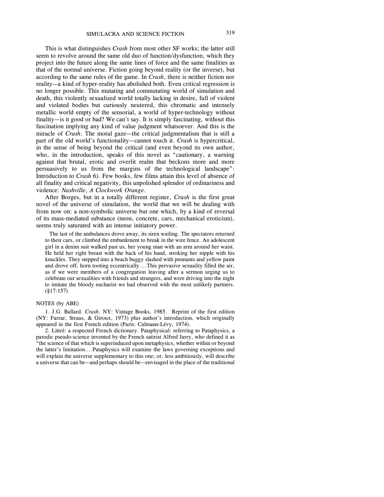This is what distinguishes *Crash* from most other SF works; the latter still seem to revolve around the same old duo of function/dysfunction, which they project into the future along the same lines of force and the same finalities as that of the normal universe. Fiction going beyond reality (or the inverse), but according to the same rules of the game. In *Crash*, there is neither fiction nor reality—a kind of hyper-reality has abolished both. Even critical regression is no longer possible. This mutating and commutating world of simulation and death, this violently sexualized world totally lacking in desire, full of violent and violated bodies but curiously neutered, this chromatic and intensely metallic world empty of the sensorial, a world of hyper-technology without finality—is it good or bad? We can't say. It is simply fascinating, without this fascination implying any kind of value judgment whatsoever. And this is the miracle of *Crash*. The moral gaze—the critical judgmentalism that is still a part of the old world's functionality—cannot touch it. *Crash* is hypercritical, in the sense of being beyond the critical (and even beyond its own author, who, in the introduction, speaks of this novel as "cautionary, a warning against that brutal, erotic and overlit realm that beckons more and more persuasively to us from the margins of the technological landscape": Introduction to *Crash* 6). Few books, few films attain this level of absence of all finality and critical negativity, this unpolished splendor of ordinariness and violence: *Nashville*, *A Clockwork Orange*.

After Borges, but in a totally different register, *Crash* is the first great novel of the universe of simulation, the world that we will be dealing with from now on: a non-symbolic universe but one which, by a kind of reversal of its mass-mediated substance (neon, concrete, cars, mechanical eroticism), seems truly saturated with an intense initiatory power.

The last of the ambulances drove away, its siren wailing. The spectators returned to their cars, or climbed the embankment to break in the wire fence. An adolescent girl in a denim suit walked past us, her young man with an arm around her waist. He held her right breast with the back of his hand, stroking her nipple with his knuckles. They stepped into a beach buggy slashed with pennants and yellow paint and drove off, horn tooting eccentrically....This pervasive sexuality filled the air, as if we were members of a congregation leaving after a sermon urging us to celebrate our sexualities with friends and strangers, and were driving into the night to imitate the bloody eucharist we had observed with the most unlikely partners. (§17:157)

#### NOTES (by ABE)

1. J.G. Ballard. *Crash*. NY: Vintage Books, 1985. Reprint of the first edition (NY: Farrar, Straus, & Giroux, 1973) plus author's introduction, which originally appeared in the first French edition (Paris: Calmann-Lévy, 1974).

2. Littré: a respected French dictionary. Pataphysical: referring to Pataphysics, a parodic pseudo-science invented by the French satirist Alfred Jarry, who defined it as "the science of that which is superinduced upon metaphysics, whether within or beyond the latter's limitation....Pataphysics will examine the laws governing exceptions and will explain the universe supplementary to this one; or, less ambitiously, will describe a universe that can be—and perhaps should be—envisaged in the place of the traditional